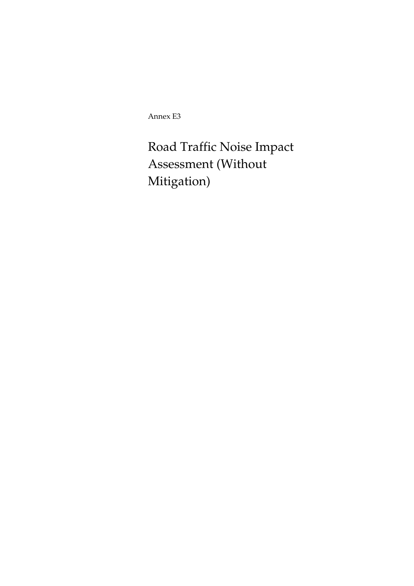Annex E3

Road Traffic Noise Impact Assessment (Without Mitigation)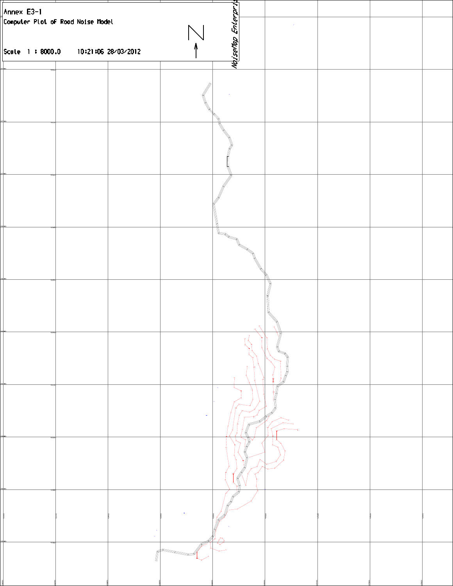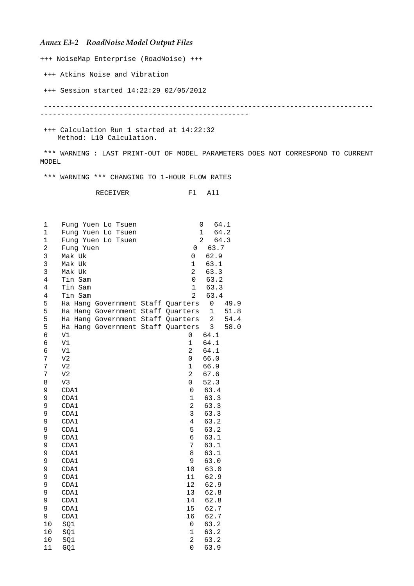## *Annex E3-2 RoadNoise Model Output Files*

+++ NoiseMap Enterprise (RoadNoise) +++

+++ Atkins Noise and Vibration

+++ Session started 14:22:29 02/05/2012

 ------------------------------------------------------------------------------- --------------------------------------------------

 +++ Calculation Run 1 started at 14:22:32 Method: L10 Calculation.

 \*\*\* WARNING : LAST PRINT-OUT OF MODEL PARAMETERS DOES NOT CORRESPOND TO CURRENT MODEL

\*\*\* WARNING \*\*\* CHANGING TO 1-HOUR FLOW RATES

RECEIVER Fl All

| 1              | Fung Yuen Lo Tsuen                   | 64.1<br>0                       |
|----------------|--------------------------------------|---------------------------------|
| $\mathbf{1}$   | Fung Yuen Lo<br>Tsuen                | 64.2<br>$\mathbf 1$             |
| $\mathbf 1$    | Fung Yuen Lo Tsuen                   | $\overline{a}$<br>64.3          |
| 2              | Fung Yuen                            | 63.7<br>0                       |
| 3              | Mak Uk                               | 62.9<br>0                       |
| 3              | Mak Uk                               | $\mathbf 1$<br>63.1             |
| 3              | Mak Uk                               | 2<br>63.3                       |
| $\overline{4}$ | Tin Sam                              | 0<br>63.2                       |
| $\overline{4}$ | Tin Sam                              | 63.3<br>$\mathbf 1$             |
| $\overline{4}$ | Tin Sam                              | $\overline{a}$<br>63.4          |
| 5              | Ha Hang Government Staff             | 0<br>Quarters<br>49.9           |
| 5              | Ha Hang Government Staff             | $\mathbf 1$<br>51.8<br>Quarters |
| 5              | Hang Government Staff Quarters<br>Ha | $\overline{2}$<br>54.4          |
| 5              | Ha Hang Government Staff Quarters    | $\mathsf{3}$<br>58.0            |
| 6              | V1                                   | 64.1<br>0                       |
| 6              | $\mathtt{V1}$                        | $\mathbf 1$<br>64.1             |
| 6              | V1                                   | $\overline{a}$<br>64.1          |
| 7              | V <sub>2</sub>                       | 0<br>66.0                       |
| 7              | V <sub>2</sub>                       | $\mathbf 1$<br>66.9             |
| 7              | V <sub>2</sub>                       | $\overline{a}$<br>67.6          |
| 8              | V3                                   | 52.3<br>0                       |
| 9              | CDA1                                 | 63.4<br>$\mathsf 0$             |
| 9              | CDA1                                 | $\mathbf 1$<br>63.3             |
| 9              | CDA1                                 | $\overline{c}$<br>63.3          |
| 9              | CDA1                                 | 3<br>63.3                       |
| 9              | CDA1                                 | $\overline{4}$<br>63.2          |
| 9              | CDA1                                 | 5<br>63.2                       |
| 9              | CDA1                                 | 6<br>63.1                       |
| 9              | CDA1                                 | 7<br>63.1                       |
| 9              | CDA1                                 | 63.1<br>8                       |
| 9              | CDA1                                 | 63.0<br>9                       |
| 9              | CDA1                                 | 63.0<br>10                      |
| 9              | CDA1                                 | 62.9<br>11                      |
| 9              | CDA1                                 | 12<br>62.9                      |
| 9              | CDA1                                 | 62.8<br>13                      |
| 9              | CDA1                                 | 62.8<br>14                      |
| 9              | CDA1                                 | 15<br>62.7                      |
| 9              | CDA1                                 | 16<br>62.7                      |
| 10             | SQ1                                  | 63.2<br>0                       |
| 10             | SQ1                                  | $\mathbf 1$<br>63.2             |
| 10             | SQ1                                  | $\overline{a}$<br>63.2          |
| 11             | GQ1                                  | 63.9<br>0                       |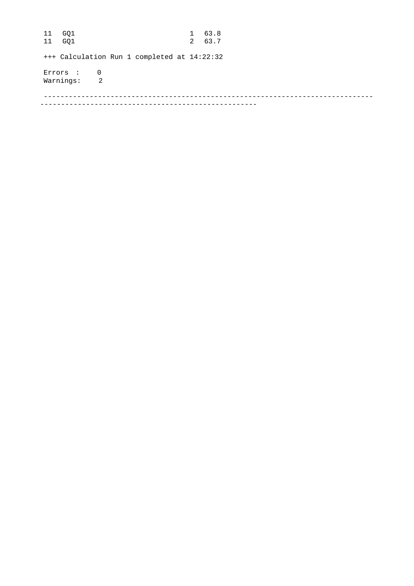11 GQ1 1 63.8 11 GQ1 2 63.7 +++ Calculation Run 1 completed at 14:22:32 Errors : 0 Warnings: 2 ------------------------------------------------------------------------------- ----------------------------------------------------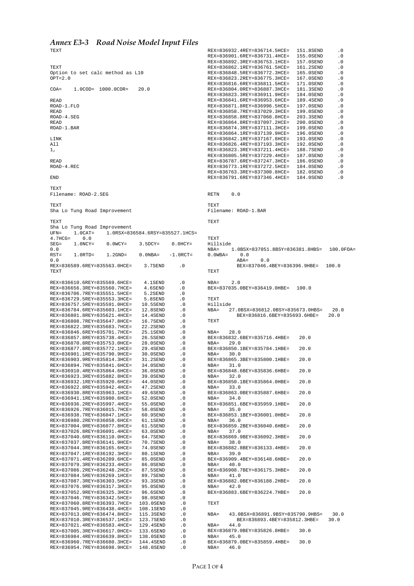## *Annex E3-3 Road Noise Model Input Files*

TEXT

TEXT Option to set calc method as L10  $OPT=2.0$ COA= 1.0COD= 1000.0COR= 20.0 READ ROAD-1.FLO READ ROAD-4.SEG READ ROAD-1.BAR LINK All 1, READ ROAD-4.REC END TEXT Filename: ROAD-2.SEG TEXT Sha Lo Tung Road Improvement TEXT Sha Lo Tung Road Improvement<br>UFN= 1.0CAT= 1.0RSX=83 0CAT= 1.0RSX=836584.6RSY=835527.1HCS=<br>0.0  $4.7 \text{HCG} = 0.0$ <br>SEG= 1 0NCY=  $0.0WCY = 3.5DCY = 0.0HCY =$  $0.0$ <br>RST=  $RSTD = 1.2$ GND= 0.0NBA=  $-1.0$ RCT= 0.0 REX=836589.6REY=835563.0HCE= 3.7SEND .0 TEXT  $REX = 836610$   $6REX = 835569$   $6HCE = 4.1$ SEND .0 REX=836656.3REY=835560.7HCE= 4.6SEND .0<br>REX=836706.7REY=835551.5HCE= 5.2SEND .0 REX=836706.7REY=835551.5HCE= 5.2SEND .0<br>REX=836729.5REY=835553.3HCE= 5.8SEND .0 REX=836729.5REY=835553.3HCE= 5.8SEND .0<br>REX=836757.5REY=835591.0HCE= 10.5SEND .0 REX=836757.5REY=835591.0HCE= 10.5SEND .0<br>REX=836784.6REY=835603.1HCE= 12.8SEND .0 REX=836784.6REY=835603.1HCE= 12.8SEND .0<br>REX=836801.8REY=835621.4HCE= 14.4SEND .0 REX=836801.8REY=835621.4HCE= 14.4SEND<br>REX=836808.7REY=835647.8HCE= 16.7SEND REX=836808.7REY=835647.8HCE= 16.7SEND .0<br>REX=836822.3REY=835683.7HCE= 22.2SEND .0 REX=836822.3REY=835683.7HCE= 22.2SEND .0<br>REX=836846.6REY=835701.7HCE= 25.1SEND .0 REX=836846.6REY=835701.7HCE= 25.1SEND .0<br>REX=836857.8REY=835738.4HCE= 26.5SEND .0 REX=836857.8REY=835738.4HCE= REX=836870.8REY=835753.0HCE= 28.0SEND .0 REX=836877.8REY=835772.1HCE= 29.4SEND<br>REX=836901.1REY=835790.9HCE= 30.0SEND REX=836901.1REY=835790.9HCE= 30.0SEND .0<br>REX=836903.9REY=835814.3HCE= 31.2SEND .0 REX=836903.9REY=835814.3HCE= 31.2SEND .0<br>REX=836894.7REY=835841.6HCE= 34.0SEND .0 REX=836894.7REY=835841.6HCE= 34.0SEND .0<br>REX=836910.4REY=835864.6HCE= 36.0SEND .0 REX=836910.4REY=835864.6HCE= 36.0SEND .0<br>REX=836923.3REY=835882.8HCE= 39.0SEND .0 REX=836923.3REY=835882.8HCE= 39.0SEND .0<br>REX=836932.1REY=835920.6HCE= 44.0SEND .0 REX=836932.1REY=835920.6HCE= 44.0SEND .0<br>REX=836922.8REY=835942.4HCE= 47.2SEND .0 REX=836922.8REY=835942.4HCE= 47.2SEND .0<br>REX=836930.8REY=835963.1HCE= 49.6SEND .0 REX=836930.8REY=835963.1HCE= 49.6SEND .0<br>REX=836930.8REY=835963.1HCE= 49.6SEND .0<br>REX=836941.1REY=835980.6HCE= 52.0SEND .0 REX=836941.1REY=835980.6HCE= 52.0SEND .0<br>REX=836936.2REY=835997.4HCE= 55.0SEND .0 REX=836936.2REY=835997.4HCE= 55.0SEND .0<br>REX=836926.7REY=836015.7HCE= 58.0SEND .0 REX=836926.7REY=836015.7HCE= 58.0SEND .0  $REX=836938.7REX=836047.1HCE=$ REX=836980.2REY=836058.6HCE= 61.1SEND .0<br>REX=837004.9REY=836077.8HCE= 61.5SEND .0 REX=837004.9REY=836077.8HCE= 61.5SEND .0<br>REX=837026.8REY=836091.4HCE= 63.0SEND .0 REX=837026.8REY=836091.4HCE= 63.0SEND .0<br>REX=837040.6REY=836110.0HCE= 64.7SEND .0 REX=837040.6REY=836110.0HCE= 64.7SEND .0<br>REX=837037.8REY=836141.9HCE= 70.7SEND .0 REX=837037.8REY=836141.9HCE= REX=837044.3REY=836165.6HCE= 74.0SEND .0<br>REX=837047.1REY=836192.3HCE= 80.1SEND .0 REX=837047.1REY=836192.3HCE= 80.1SEND .0<br>REX=837071.4REY=836209.6HCE= 85.0SEND .0 REX=837071.4REY=836209.6HCE= 85.0SEND .0<br>REX=837079.3REY=836233.4HCE= 86.0SEND .0 REX=837079.3REY=836233.4HCE= 86.0SEND .0<br>REX=837086.2REY=836248.2HCE= 87.5SEND .0 REX=837086.2REY=836248.2HCE= 87.5SEND .0<br>REX=837084.5REY=836269.1HCE= 89.7SEND .0 REX=837084.5REY=836269.1HCE= 89.7SEND .0<br>REX=837087.3REY=836303.5HCE= 93.3SEND .0 REX=837087.3REY=836303.5HCE= 93.3SEND .0<br>REX=837076.9REY=836317.3HCE= 95.0SEND .0 REX=837076.9REY=836317.3HCE= 95.0SEND .0<br>REX=837052.9REY=836325.3HCE= 96.6SEND .0 REX=837052.9REY=836325.3HCE= 96.6SEND .0<br>REX=837052.9REY=836325.3HCE= 96.6SEND .0 REX=837046.7REY=836342.5HCE= 98.0SEND .0 REX=837060.8REY=836393.7HCE= 103.0SEND .0 REX=837045.9REY=836438.4HCE= 108.1SEND .0 REX=837013.0REY=836474.8HCE= 115.3SEND .0<br>REX=837010.3REY=836537.1HCE= 123.7SEND .0 REX=837010.3REY=836537.1HCE= 123.7SEND .0<br>REX=837021.4REY=836583.4HCE= 129.4SEND .0 REX=837021.4REY=836583.4HCE= 129.4SEND .0<br>REX=837005.3REY=836617.0HCE= 133.6SEND .0 REX=837005.3REY=836617.0HCE= 133.6SEND .0<br>REX=836984.4REY=836639.8HCE= 138.0SEND .0 REX=836984.4REY=836639.8HCE= 138.0SEND .0<br>REX=836960.7REY=836680.3HCE= 144.4SEND .0 REX=836960.7REY=836680.3HCE= 144.4SEND .0<br>REX=836954.7REY=836698.9HCE= 148.0SEND .0 REX=836954.7REY=836698.9HCE= TEXT TEXT TEXT TEXT TEXT TEXT TEXT BEX=836879.0BEY=835826.8HBE= 30.0<br>NBA= 45 0 BEX=836879.0BEY=835859.4HBE= 30.0<br>NBA= 46.0

REX=836932.4REY=836714.5HCE= 151.8SEND .0<br>REX=836901.6REY=836731.4HCE= 155.0SEND .0 REX=836901.6REY=836731.4HCE= 155.0SEND .0 REX=836892.3REY=836753.1HCE= 157.0SEND .0 REX=836862.1REY=836761.5HCE= 161.2SEND .0<br>REX=836848.5REY=836772.3HCE= 165.0SEND .0 REX=836848.5REY=836772.3HCE= 165.0SEND .0<br>REX=836823.2REY=836775.3HCE= 167.0SEND .0 REX=836823.2REY=836775.3HCE= 167.0SEND .0<br>REX=836816.6REY=836811.5HCE= 171.0SEND .0 REX=836816.6REY=836811.5HCE= 171.0SEND .0<br>REX=836804.0REY=836887.3HCE= 181.3SEND .0 REX=836804.0REY=836887.3HCE= 181.3SEND .0 REX=836823.3REY=836911.9HCE= REX=836841.6REY=836953.6HCE= 189.4SEND .0<br>REX=836871.8REY=836996.5HCE= 197.0SEND .0 REX=836871.8REY=836996.5HCE= 197.0SEND .0<br>REX=836858.7REY=837029.3HCE= 199.0SEND .0 REX=836858.7REY=837029.3HCE= 199.0SEND .0<br>REX=836858.8REY=837068.8HCE= 203.3SEND .0 REX=836858.8REY=837068.8HCE= 203.3SEND .0<br>REX=836864.8REY=837097.2HCE= 200.0SEND .0 REX=836864.8REY=837097.2HCE= 200.0SEND .0 REX=836874.3REY=837111.3HCE= 199.0SEND<br>REX=836864.1REY=837139.9HCE= 196.0SEND REX=836864.1REY=837139.9HCE= 196.0SEND .0<br>REX=836842.1REY=837167.8HCE= 193.0SEND .0 REX=836842.1REY=837167.8HCE= 193.0SEND .0<br>REX=836826.4REY=837193.3HCE= 192.0SEND .0 REX=836826.4REY=837193.3HCE= 192.0SEND .0<br>REX=836823.3REY=837211.4HCE= 188.7SEND .0 REX=836823.3REY=837211.4HCE= 188.7SEND .0<br>REX=836805.5REY=837229.4HCE= 187.0SEND .0  $REX=836805.5RRY=837229.4HCF=$ REX=836787.6REY=837247.3HCE= 186.0SEND .0<br>REX=836773.1REY=837272.5HCE= 184.0SEND .0 REX=836773.1REY=837272.5HCE= 184.0SEND .0<br>REX=836763.3REY=837300.8HCE= 182.0SEND .0 REX=836763.3REY=837300.8HCE= 182.0SEND .0<br>REX=836791.6REY=837346.4HCE= 184.0SEND .0 REX=836791.6REY=837346.4HCE= RETN 0.0 Filename: ROAD-1.BAR Hillside 1.0BSX=837051.8BSY=836381.8HBS= 100.0FOA= 0 0  $0.0WBA=$  ABA= 0.0 BEX=837046.4BEY=836396.9HBE= 100.0  $NBA = 2.0$ BEX=837035.0BEY=836419.0HBE= 100.0 Hillside<br>NBA= 2 27.0BSX=836812.0BSY=835673.0HBS= 20.0<br>BEX=836816.6BEY=835693.6HBE= 20.0 BEX=836816.6BEY=835693.6HBE= 20.0 NBA= 28.0 BEX=836832.6BEY=835716.4HBE= 20.0 NBA= 29.0 BEX=836850.1BEY=835784.1HBE= 20.0 NBA= 30.0 BEX=836865.3BEY=835800.1HBE= 20.0<br>NBA= 31.0 NBA= 31.0 BEX=836848.6BEY=835836.6HBE= 20.0<br>NBA= 32.0  $32.0$ BEX=836850.1BEY=835864.0HBE= 20.0  $NRA =$  33.0 BEX=836863.0BEY=835887.6HBE= 20.0<br>NBA= 34.0  $34.0$ BEX=836851.6BEY=835959.1HBE= 20.0<br>NBA= 35 0 NBA= 35.0 BEX=836853.1BEY=836001.0HBE= 20.0 NBA= 36.0 BEX=836859.2BEY=836040.6HBE= 20.0<br>NBA= 37.0 NBA= 37.0 BEX=836869.9BEY=836092.3HBE= 20.0  $NBA = 38.0$ BEX=836882.8BEY=836133.4HBE= 20.0<br>NBA= 39.0 NBA= 39.0 BEX=836909.4BEY=836148.6HBE= 20.0<br>NBA= 40.0 NBA= 40.0 BEX=836908.7BEY=836175.3HBE= 20.0<br>NBA= 41.0 NBA= 41.0 BEX=836882.0BEY=836188.2HBE= 20.0<br>NRA= 42.0  $42.0$ BEX=836883.6BEY=836224.7HBE= 20.0 NBA= 43.0BSX=836891.9BSY=835790.9HBS= 30.0<br>REX=836893 4BEY=835812 3HBE= 30.0 BEX=836893.4BEY=835812.3HBE=<br>NBA= 44.0 NBA= 44.0

 $NBA=$ 

NBA= 45.0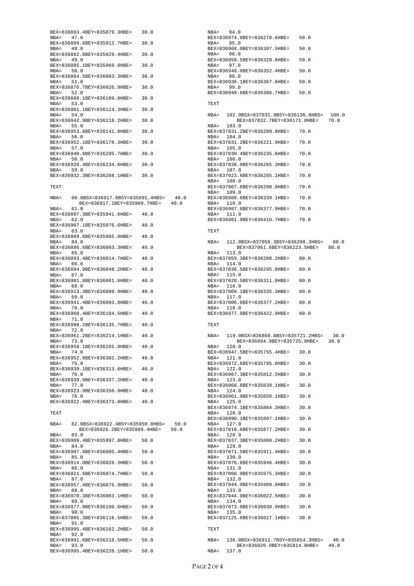| BEX=836893.4BEY=835879.3HBE=  30.0 |      |
|------------------------------------|------|
| NBA= 47.0                          |      |
| BEX=836889.6BEY=835912.7HBE= 30.0  |      |
| NBA= 48.0                          |      |
| BEX=836882.8BEY=835929.4HBE=       | 30.0 |
| NBA= 49.0                          |      |
| BEX=836885.1BEY=835969.8HBE= 30.0  |      |
| NBA= 50.0                          |      |
| BEX=836864.5BEY=836003.3HBE= 30.0  |      |
| NBA= 51.0                          |      |
| BEX=836876.7BEY=836026.9HBE= 30.0  |      |
| $NBA = 52.0$                       |      |
| BEX=836888.1BEY=836109.8HBE=       | 30.0 |
| NBA= 53.0                          |      |
| BEX=836901.1BEY=836124.3HBE= 30.0  |      |
| NBA= 54.0                          |      |
| BEX=836942.9BEY=836118.2HBE= 30.0  |      |
| NBA= 55.0                          |      |
| BEX=836953.6BEY=836141.8HBE= 30.0  |      |
| NBA= 56.0                          |      |
| BEX=836952.1BEY=836178.3HBE=       | 30.0 |
| NBA= 57.0                          |      |
| BEX=836940.6BEY=836205.7HBE= 30.0  |      |
| NBA= 58.0                          |      |
| BEX=836928.4BEY=836234.6HBE= 30.0  |      |
| NBA= 59.0                          |      |
| BEX=836932.3BEY=836268.1HBE= 30.0  |      |
|                                    |      |

## TEXT

|              | NBA= 60.0BSX=836917.8BSY=835891.4HBS= 40.0<br>BEX=836917.1BEY=835909.7HBE= 40.0 |        |  |
|--------------|---------------------------------------------------------------------------------|--------|--|
| $NBA=$       | 61.0                                                                            |        |  |
|              | BEX=836897.3BEY=835941.6HBE= 40.0                                               |        |  |
| $NBA = 62.0$ |                                                                                 |        |  |
|              | BEX=836907.1BEY=835976.6HBE= 40.0                                               |        |  |
| NBA= 63.0    |                                                                                 |        |  |
|              | BEX=836889.6BEY=835985.8HBE= 40.0                                               |        |  |
| NBA= 64.0    |                                                                                 |        |  |
|              | BEX=836886.6BEY=836003.3HBE= 40.0                                               |        |  |
| $NBA = 65.0$ |                                                                                 |        |  |
|              | BEX=836893.4BEY=836014.7HBE=                                                    | -40.0  |  |
| NBA= 66.0    |                                                                                 |        |  |
|              | BEX=836894.9BEY=836048.2HBE= 40.0                                               |        |  |
| NBA= 67.0    |                                                                                 |        |  |
|              | BEX=836901.8BEY=836081.6HBE= 40.0                                               |        |  |
| $NBA = 68.0$ |                                                                                 |        |  |
|              | BEX=836913.3BEY=836099.9HBE= 40.0                                               |        |  |
| NBA= 69.0    |                                                                                 |        |  |
|              | BEX=836941.4BEY=836093.8HBE= 40.0                                               |        |  |
| NBA= 70.0    |                                                                                 |        |  |
|              | BEX=836960.4BEY=836104.5HBE=                                                    | - 40.0 |  |
| $NBA = 71.0$ |                                                                                 |        |  |
|              | BEX=836980.2BEY=836135.7HBE= 40.0                                               |        |  |
| $NBA = 72.0$ |                                                                                 |        |  |
|              | BEX=836961.2BEY=836214.1HBE= 40.0                                               |        |  |
| NBA= 73.0    |                                                                                 |        |  |
|              | BEX=836958.1BEY=836265.8HBE= 40.0                                               |        |  |
| $NBA = 74.0$ |                                                                                 |        |  |
|              | BEX=836952.8BEY=836302.2HBE= 40.0                                               |        |  |
| $NBA = 75.0$ |                                                                                 |        |  |
|              | BEX=836939.1BEY=836313.6HBE=                                                    | -40.0  |  |
| $NBA = 76.0$ |                                                                                 |        |  |
|              | BEX=836939.9BEY=836337.2HBE= 40.0                                               |        |  |
| $NBA = 77.0$ |                                                                                 |        |  |
|              | BEX=836923.9BEY=836350.9HBE=                                                    | - 40.0 |  |
| NBA= 78.0    |                                                                                 |        |  |
|              | BEX=836922.4BEY=836373.8HBE= 40.0                                               |        |  |
|              |                                                                                 |        |  |
| TEXT         |                                                                                 |        |  |
|              | NBA= 82.0BSX=836922.4BSY=835959.8HBS= 50.0                                      |        |  |
|              | BEX=836926.2BEY=835989.4HBE= 50.0                                               |        |  |
| $NBA=$       | 83.0                                                                            |        |  |

| $NBA = 83.0$ |                                   |      |
|--------------|-----------------------------------|------|
|              | BEX=836909.4BEY=835997.8HBE= 50.0 |      |
| $NBA = 84.0$ |                                   |      |
|              | BEX=836907.9BEY=836005.4HBE= 50.0 |      |
| $NBA = 85.0$ |                                   |      |
|              | BEX=836914.0BEY=836028.3HBE=      | 50.0 |
| $NRA =$ 86 0 |                                   |      |
|              | BEX=836921.6BEY=836074.7HBE=      | 50.0 |
| $NBA = 87.0$ |                                   |      |
|              | BEX=836957.4BEY=836076.9HBE= 50.0 |      |
| $NBA = 88.0$ |                                   |      |
|              | BEX=836970.3BEY=836083.1HBE= 50.0 |      |
| $NBA = 89.0$ |                                   |      |
|              | BEX=836977.9BEY=836100.6HBE=      | 50.0 |
| $NBA = 90.0$ |                                   |      |
|              | BEX=837005.3BEY=836116.5HBE= 50.0 |      |
| $NBA = 91.0$ |                                   |      |
|              | BEX=836995.4BEY=836162.2HBE=      | 50.0 |
| $NBA = 92.0$ |                                   |      |
|              | BEX=836991.6BEY=836218.5HBE=      | 50.0 |
| $NBA = 93.0$ |                                   |      |
|              | BEX=836995.4BEY=836226.1HBE=      | 50.0 |
|              |                                   |      |

 $NBA = 94.0$ BEX=836974.9BEY=836278.6HBE= 50.0<br>NBA= 95.0 NBA= 95.0 BEX=836968.0BEY=836307.5HBE= 50.0 NBA= 96.0 BEX=836950.5BEY=836328.8HBE= 50.0 NBA= 97.0 BEX=836949.0BEY=836352.4HBE= 50.0<br>NBA= 98.0 98.0 BEX=836936.1BEY=836367.6HBE= 50.0  $NRA = 99.0$ BEX=836940.6BEY=836386.7HBE= 50.0 TEXT NBA= 102.0BSX=837031.9BSY=836136.8HBS= 100.0 BEX=837032.7BEY=836171.0HBE=<br>NBA= 103.0 NBA= 103.0 BEX=837031.2BEY=836209.8HBE= 70.0<br>NBA= 104.0 104.0 BEX=837031.2BEY=836221.9HBE= 70.0 NBA= 105.0 BEX=837030.4BEY=836235.6HBE= 70.0 NBA= 106.0 BEX=837038.0BEY=836265.3HBE= 70.0 NBA= 107.0 BEX=837023.6BEY=836285.1HBE= 70.0 NBA= 108.0 BEX=837007.6BEY=836298.8HBE= 70.0 NBA= 109.0 BEX=836988.6BEY=836339.1HBE= 70.0<br>NBA= 110.0 110.0 BEX=836987.8BEY=836377.9HBE= 70.0 NBA= 111.0 BEX=836961.9BEY=836410.7HBE= 70.0 TEXT NBA= 112.0BSX=837056.3BSY=836208.3HBS= 80.0<br>BEX=837061.6BEY=836223.5HBE= 80.0 BEX=837061.6BEY=836223.5HBE=  $NBA = 113.0$ BEX=837059.3BEY=836288.2HBE= 80.0<br>NBA= 114.0 114.0 BEX=837036.5BEY=836295.8HBE= 80.0 NBA= 115.0 BEX=837020.5BEY=836311.0HBE= 80.0 NBA= 116.0 BEX=837009.1BEY=836335.3HBE= 80.0<br>NBA= 117.0 117.0 BEX=837006.8BEY=836377.2HBE= 80.0 NBA= 118.0 BEX=836977.9BEY=836422.9HBE= 80.0 TEXT NBA= 119.0BSX=836860.8BSY=835721.2HBS= 30.0 BEX=836894.9BEY=835725.0HBE=<br>NBA= 120.0 120.0 BEX=836947.5BEY=835755.4HBE= 30.0<br>NBA= 121.0 121.0 BEX=836972.6BEY=835795.0HBE= 30.0 NBA= 122.0 BEX=836967.3BEY=835812.5HBE= 30.0 NBA= 123.0 BEX=836968.8BEY=835839.1HBE= 30.0 124.0 BEX=836961.9BEY=835858.1HBE= 30.0 NBA= 125.0 BEX=836974.1BEY=835864.3HBE= 30.0 NBA= 126.0 BEX=836990.1BEY=835887.1HBE= 30.0 NBA= 127.0 BEX=837010.6BEY=835877.2HBE= 30.0 NBA= 128.0 BEX=837037.3BEY=835880.2HBE= 30.0 NBA= 129.0 BEX=837071.5BEY=835911.4HBE= 30.0 NBA= 130.0 BEX=837076.8BEY=835946.4HBE= 30.0 NBA= 131.0 BEX=837060.9BEY=835975.3HBE= 30.0 NBA= 132.0 BEX=837044.9BEY=835989.0HBE= 30.0 NBA= 133.0 BEX=837044.9BEY=836022.5HBE= 30.0 NBA= 134.0 BEX=837073.0BEY=836030.9HBE= 30.0<br>NBA= 135.0 NBA= 135.0 BEX=837125.6BEY=836027.1HBE= 30.0 TEXT NBA= 136.0BSX=836911.7BSY=835854.3HBS= 40.0<br>BEX=836926.9BEY=835814.8HBE= 40.0

NBA= 137.0

BEX=836926.9BEY=835814.8HBE=<br>NBA= 137.0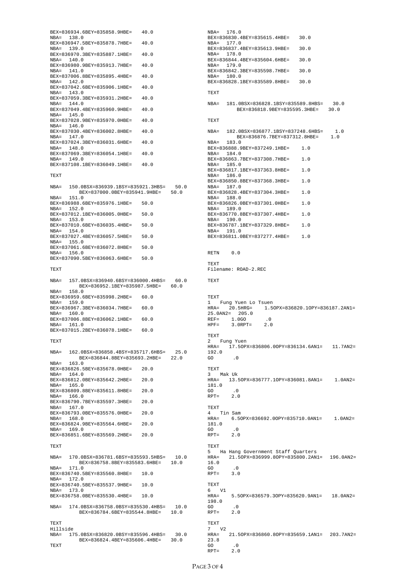|            |       | BEX=836934.6BEY=835858.9HBE=                                                | 40.0 |      |
|------------|-------|-----------------------------------------------------------------------------|------|------|
| NBA= 138.0 |       |                                                                             |      |      |
| NBA= 139.0 |       | BEX=836947.5BEY=835878.7HBE=                                                | 40.0 |      |
|            |       | BEX=836970.3BEY=835887.1HBE= 40.0                                           |      |      |
| NBA= 140.0 |       |                                                                             |      |      |
| NBA= 141.0 |       | BEX=836980.9BEY=835913.7HBE=                                                | 40.0 |      |
|            |       | BEX=837006.8BEY=835895.4HBE=                                                | 40.0 |      |
| NBA= 142.0 |       |                                                                             |      |      |
| NBA= 143.0 |       | BEX=837042.6BEY=835906.1HBE= 40.0                                           |      |      |
|            |       | BEX=837059.3BEY=835931.2HBE=                                                | 40.0 |      |
| NBA= 144.0 |       |                                                                             |      |      |
| NBA= 145.0 |       | BEX=837049.4BEY=835960.9HBE=                                                | 40.0 |      |
|            |       | BEX=837028.9BEY=835970.0HBE= 40.0                                           |      |      |
| NBA= 146.0 |       |                                                                             |      |      |
| NBA= 147.0 |       | BEX=837030.4BEY=836002.8HBE=                                                | 40.0 |      |
|            |       | BEX=837024.3BEY=836031.6HBE=                                                | 40.0 |      |
| NBA= 148.0 |       |                                                                             |      |      |
| NBA= 149.0 |       | BEX=837069.3BEY=836054.1HBE= 40.0                                           |      |      |
|            |       | BEX=837108.1BEY=836049.1HBE=                                                | 40.0 |      |
|            |       |                                                                             |      |      |
| TEXT       |       |                                                                             |      |      |
|            |       | NBA= 150.0BSX=836939.1BSY=835921.3HBS=                                      |      | 50.0 |
|            |       | BEX=837000.0BEY=835941.9HBE=                                                |      | 50.0 |
| NBA=       | 151.0 | BEX=836988.6BEY=835976.1HBE=                                                | 50.0 |      |
| NBA= 152.0 |       |                                                                             |      |      |
|            |       | BEX=837012.1BEY=836005.0HBE=                                                | 50.0 |      |
| NBA= 153.0 |       | BEX=837010.6BEY=836035.4HBE=                                                | 50.0 |      |
| NBA= 154.0 |       |                                                                             |      |      |
| NBA= 155.0 |       | BEX=837027.4BEY=836057.5HBE=                                                | 50.0 |      |
|            |       | BEX=837061.6BEY=836072.8HBE=                                                | 50.0 |      |
| NBA=       | 156.0 |                                                                             |      |      |
|            |       | BEX=837090.5BEY=836063.6HBE=                                                | 50.0 |      |
| TEXT       |       |                                                                             |      |      |
|            |       |                                                                             |      |      |
| NBA=       |       | 157.0BSX=836940.6BSY=836000.4HBS= 60.0<br>BEX=836952.1BEY=835987.5HBE= 60.0 |      |      |
| NBA= 158.0 |       |                                                                             |      |      |
| NBA= 159.0 |       | BEX=836959.6BEY=835998.2HBE=                                                | 60.0 |      |
|            |       | BEX=836967.3BEY=836034.7HBE=                                                | 60.0 |      |
| NBA= 160.0 |       |                                                                             | 60.0 |      |
| NBA= 161.0 |       | BEX=837006.8BEY=836062.1HBE=                                                |      |      |
|            |       | BEX=837015.2BEY=836078.1HBE= 60.0                                           |      |      |
| TEXT       |       |                                                                             |      |      |
|            |       |                                                                             |      |      |
|            |       | NBA= 162.0BSX=836858.4BSY=835717.6HBS=                                      |      | 25.0 |
| NBA= 163.0 |       | BEX=836844.8BEY=835693.2HBE= 22.0                                           |      |      |
|            |       | BEX=836826.5BEY=835678.0HBE=                                                | 20.0 |      |
| NBA= 164.0 |       |                                                                             |      |      |
| NBA= 165.0 |       | BEX=836812.0BEY=835642.2HBE= 20.0                                           |      |      |
|            |       | BEX=836809.8BEY=835611.8HBE=                                                | 20.0 |      |
| NBA= 166.0 |       | BEX=836790.7BEY=835597.3HBE=                                                | 20.0 |      |
| NBA= 167.0 |       |                                                                             |      |      |
|            |       | BEX=836793.0BEY=835576.0HBE= 20.0                                           |      |      |
| NBA= 168.0 |       | BEX=836824.9BEY=835564.6HBE=                                                | 20.0 |      |
| NBA= 169.0 |       |                                                                             |      |      |
|            |       | BEX=836851.6BEY=835569.2HBE=                                                | 20.0 |      |
| TEXT       |       |                                                                             |      |      |
|            |       |                                                                             |      |      |
|            |       | NBA= 170.0BSX=836781.6BSY=835593.5HBS=<br>BEX=836758.8BEY=835583.6HBE= 10.0 |      | 10.0 |
| NBA= 171.0 |       |                                                                             |      |      |
|            |       | BEX=836740.5BEY=835560.8HBE=                                                | 10.0 |      |
| NBA= 172.0 |       | BEX=836740.5BEY=835537.9HBE=                                                | 10.0 |      |
| NBA= 173.0 |       |                                                                             |      |      |
|            |       | BEX=836758.0BEY=835530.4HBE= 10.0                                           |      |      |
|            |       | NBA= 174.0BSX=836758.0BSY=835530.4HBS=                                      |      | 10.0 |
|            |       | BEX=836784.6BEY=835544.8HBE= 10.0                                           |      |      |
| TEXT       |       |                                                                             |      |      |
| Hillside   |       |                                                                             |      |      |
|            |       | NBA= 175.0BSX=836820.0BSY=835596.4HBS= 30.0                                 |      |      |
|            |       | BEX=836824.4BEY=835606.4HBE= 30.0                                           |      |      |

TEXT

NBA= 176.0 BEX=836830.4BEY=835615.4HBE= 30.0<br>NBA= 177.0 NBA= 177.0 BEX=836837.4BEY=835613.9HBE= 30.0 NBA= 178.0 BEX=836844.4BEY=835604.6HBE= 30.0 NBA= 179.0 BEX=836842.3BEY=835598.7HBE= 30.0 NBA= 180.0 BEX=836828.1BEY=835589.8HBE= 30.0 TEXT NBA= 181.0BSX=836828.1BSY=835589.8HBS= 30.0 BEX=836818.9BEY=835595.3HBE= 30.0 TEXT NBA= 182.0BSX=836877.1BSY=837248.6HBS= 1.0<br>BEX=836876.7BEY=837312.8HBE= 1.0 BEX=836876.7BEY=837312.8HBE= 1.0<br>NBA= 183.0 BEX=836888.9BEY=837249.1HBE= 1.0 NBA= 184.0 BEX=836863.7BEY=837308.7HBE= 1.0 NBA= 185.0 BEX=836817.1BEY=837363.8HBE= 1.0 NBA= 186.0 BEX=836850.8BEY=837368.3HBE= 1.0 NBA= 187.0 BEX=836828.4BEY=837304.3HBE= 1.0 NBA= 188.0 BEX=836826.0BEY=837301.0HBE= 1.0 NBA= 189.0 BEX=836770.8BEY=837307.4HBE= 1.0 NBA= 190.0 BEX=836787.1BEY=837329.8HBE= 1.0 NBA= 191.0 BEX=836811.0BEY=837277.4HBE= 1.0 RETN 00 TEXT Filename: ROAD-2.REC TEXT TEXT 1 Fung Yuen Lo Tsuen HRA= 20.5HRG= 1.5OPX=836820.1OPY=836187.2AN1=<br>25.0AN2= 205.0<br>REF= 1.0GO .0<br>HPF= 3.0RPT= 2.0 TEXT 2 Fung Yuen HRA= 17.5OPX=836806.0OPY=836134.6AN1= 11.7AN2= 192.0  $GO \t 0$ TEXT 3 Mak Uk HRA= 13.5OPX=836777.1OPY=836081.8AN1= 1.0AN2= 181.0 GO  $.0$ <br>RPT=  $2.0$  $2.0$ TEXT 4 Tin Sam<br>HRA= 6.50  $6.5$ OPX=836692.0OPY=835710.0AN1= 1.0AN2= 181.0 GO .0  $RPT=$  2.0 TEXT 5 Ha Hang Government Staff Quarters<br>HRA= 21.50PX=836999.80PY=835800.2AN 21.5OPX=836999.8OPY=835800.2AN1= 196.0AN2= 16.0  $\overline{a}$  .  $\overline{0}$  $RPT=$  3.0 TEXT  $6$  V1  $_{\rm HRA=}$ 5.5OPX=836579.3OPY=835620.9AN1= 18.0AN2= 198.0  $GO$  . 0<br>RPT= 2.0  $RPT=$ TEXT  $7^{\circ}$  V2<br>HRA= HRA= 21.5OPX=836860.8OPY=835659.1AN1= 203.7AN2= 23.8

 $GO$  . 0<br>RPT= 2.0  $RPT=$